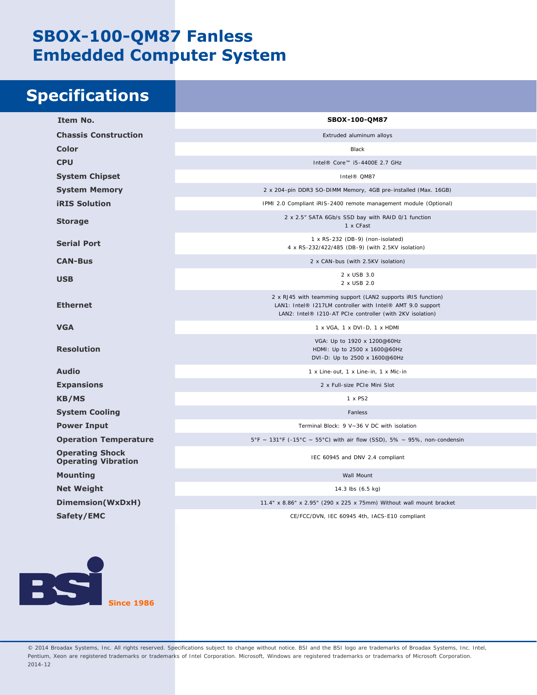## **SBOX-100-QM87 Fanless Embedded Computer System**

## **Specifications**

| Item No.                                             | SBOX-100-QM87                                                                                                                                                                           |
|------------------------------------------------------|-----------------------------------------------------------------------------------------------------------------------------------------------------------------------------------------|
| <b>Chassis Construction</b>                          | Extruded aluminum alloys                                                                                                                                                                |
| <b>Color</b>                                         | Black                                                                                                                                                                                   |
| <b>CPU</b>                                           | Intel® Core™ i5-4400E 2.7 GHz                                                                                                                                                           |
| <b>System Chipset</b>                                | Intel® QM87                                                                                                                                                                             |
| <b>System Memory</b>                                 | 2 x 204-pin DDR3 SO-DIMM Memory, 4GB pre-installed (Max. 16GB)                                                                                                                          |
| <b>iRIS Solution</b>                                 | IPMI 2.0 Compliant iRIS-2400 remote management module (Optional)                                                                                                                        |
| <b>Storage</b>                                       | 2 x 2.5" SATA 6Gb/s SSD bay with RAID 0/1 function<br>1 x CFast                                                                                                                         |
| <b>Serial Port</b>                                   | 1 x RS-232 (DB-9) (non-isolated)<br>4 x RS-232/422/485 (DB-9) (with 2.5KV isolation)                                                                                                    |
| <b>CAN-Bus</b>                                       | 2 x CAN-bus (with 2.5KV isolation)                                                                                                                                                      |
| <b>USB</b>                                           | 2 x USB 3.0<br>2 x USB 2.0                                                                                                                                                              |
| <b>Ethernet</b>                                      | 2 x RJ45 with teamming support (LAN2 supports iRIS function)<br>LAN1: Intel® I217LM controller with Intel® AMT 9.0 support<br>LAN2: Intel® I210-AT PCIe controller (with 2KV isolation) |
| <b>VGA</b>                                           | 1 x VGA, 1 x DVI-D, 1 x HDMI                                                                                                                                                            |
| <b>Resolution</b>                                    | VGA: Up to 1920 x 1200@60Hz<br>HDMI: Up to 2500 x 1600@60Hz<br>DVI-D: Up to 2500 x 1600@60Hz                                                                                            |
| <b>Audio</b>                                         | 1 x Line-out, 1 x Line-in, 1 x Mic-in                                                                                                                                                   |
| <b>Expansions</b>                                    | 2 x Full-size PCIe Mini Slot                                                                                                                                                            |
| <b>KB/MS</b>                                         | 1 x PS2                                                                                                                                                                                 |
| <b>System Cooling</b>                                | Fanless                                                                                                                                                                                 |
| <b>Power Input</b>                                   | Terminal Block: 9 V~36 V DC with isolation                                                                                                                                              |
| <b>Operation Temperature</b>                         | $5^{\circ}F$ ~ 131°F (-15°C ~ 55°C) with air flow (SSD), 5% ~ 95%, non-condensin                                                                                                        |
| <b>Operating Shock</b><br><b>Operating Vibration</b> | IEC 60945 and DNV 2.4 compliant                                                                                                                                                         |
| <b>Mounting</b>                                      | Wall Mount                                                                                                                                                                              |
| <b>Net Weight</b>                                    | 14.3 lbs (6.5 kg)                                                                                                                                                                       |
| Dimemsion(WxDxH)                                     | 11.4" x 8.86" x 2.95" (290 x 225 x 75mm) Without wall mount bracket                                                                                                                     |
| Safety/EMC                                           | CE/FCC/DVN, IEC 60945 4th, IACS-E10 compliant                                                                                                                                           |

**Since 1986**

EC

© 2014 Broadax Systems, Inc. All rights reserved. Specifications subject to change without notice. BSI and the BSI logo are trademarks of Broadax Systems, Inc. Intel, Pentium, Xeon are registered trademarks or trademarks of Intel Corporation. Microsoft, Windows are registered trademarks or trademarks of Microsoft Corporation. 2014-12